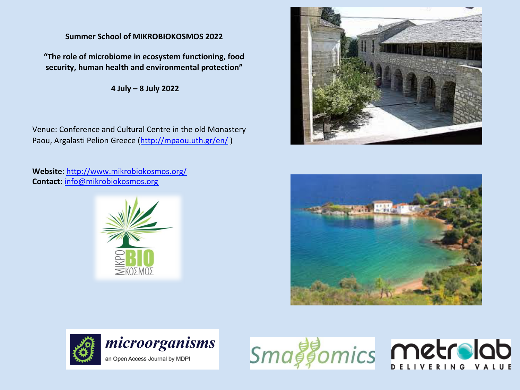# **Summer School of MIKROBIOKOSMOS 2022**

"The role of microbiome in ecosystem functioning, food security, human health and environmental protection"

**4 July – 8 July 2022** 

Venue: Conference and Cultural Centre in the old Monastery Paou, Argalasti Pelion Greece (http://mpaou.uth.gr/en/)

Website: http://www.mikrobiokosmos.org/ **Contact:** info@mikrobiokosmos.org 









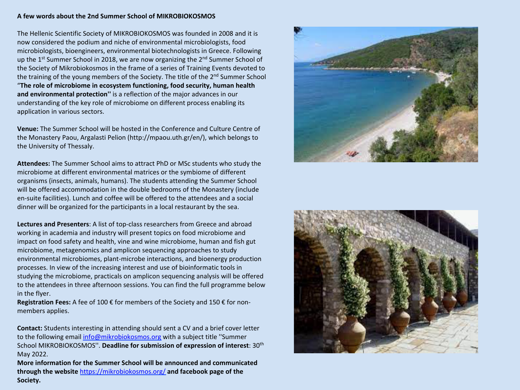#### A few words about the 2nd Summer School of MIKROBIOKOSMOS

The Hellenic Scientific Society of MIKROBIOKOSMOS was founded in 2008 and it is now considered the podium and niche of environmental microbiologists, food microbiologists, bioengineers, environmental biotechnologists in Greece. Following up the  $1^{st}$  Summer School in 2018, we are now organizing the  $2^{nd}$  Summer School of the Society of Mikrobiokosmos in the frame of a series of Training Events devoted to the training of the young members of the Society. The title of the  $2^{nd}$  Summer School "The role of microbiome in ecosystem functioning, food security, human health and environmental protection" is a reflection of the major advances in our understanding of the key role of microbiome on different process enabling its application in various sectors.

**Venue:** The Summer School will be hosted in the Conference and Culture Centre of the Monastery Paou, Argalasti Pelion (http://mpaou.uth.gr/en/), which belongs to the University of Thessaly.

**Attendees:** The Summer School aims to attract PhD or MSc students who study the microbiome at different environmental matrices or the symbiome of different organisms (insects, animals, humans). The students attending the Summer School will be offered accommodation in the double bedrooms of the Monastery (include en-suite facilities). Lunch and coffee will be offered to the attendees and a social dinner will be organized for the participants in a local restaurant by the sea.

Lectures and Presenters: A list of top-class researchers from Greece and abroad working in academia and industry will present topics on food microbiome and impact on food safety and health, vine and wine microbiome, human and fish gut microbiome, metagenomics and amplicon sequencing approaches to study environmental microbiomes, plant-microbe interactions, and bioenergy production processes. In view of the increasing interest and use of bioinformatic tools in studying the microbiome, practicals on amplicon sequencing analysis will be offered to the attendees in three afternoon sessions. You can find the full programme below in the flyer.

**Registration Fees:** A fee of 100 € for members of the Society and 150 € for nonmembers applies.

**Contact:** Students interesting in attending should sent a CV and a brief cover letter to the following email info@mikrobiokosmos.org with a subject title "Summer School MIKROBIOKOSMOS". Deadline for submission of expression of interest: 30<sup>th</sup> May 2022. 

**More information for the Summer School will be announced and communicated** through the website https://mikrobiokosmos.org/ and facebook page of the **Society.**